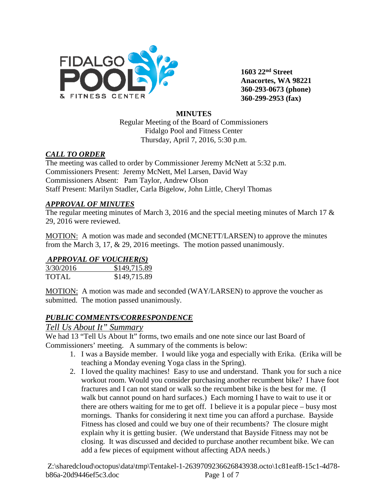

**1603 22nd Street Anacortes, WA 98221 360-293-0673 (phone) 360-299-2953 (fax)**

#### **MINUTES**

Regular Meeting of the Board of Commissioners Fidalgo Pool and Fitness Center Thursday, April 7, 2016, 5:30 p.m.

## *CALL TO ORDER*

The meeting was called to order by Commissioner Jeremy McNett at 5:32 p.m. Commissioners Present: Jeremy McNett, Mel Larsen, David Way Commissioners Absent: Pam Taylor, Andrew Olson Staff Present: Marilyn Stadler, Carla Bigelow, John Little, Cheryl Thomas

## *APPROVAL OF MINUTES*

The regular meeting minutes of March 3, 2016 and the special meeting minutes of March 17 & 29, 2016 were reviewed.

MOTION: A motion was made and seconded (MCNETT/LARSEN) to approve the minutes from the March 3, 17, & 29, 2016 meetings. The motion passed unanimously.

# *APPROVAL OF VOUCHER(S)*

| 3/30/2016    | \$149,715.89 |
|--------------|--------------|
| <b>TOTAL</b> | \$149,715.89 |

MOTION: A motion was made and seconded (WAY/LARSEN) to approve the voucher as submitted. The motion passed unanimously.

## *PUBLIC COMMENTS/CORRESPONDENCE*

# *Tell Us About It" Summary*

We had 13 "Tell Us About It" forms, two emails and one note since our last Board of Commissioners' meeting. A summary of the comments is below:

- 1. I was a Bayside member. I would like yoga and especially with Erika. (Erika will be teaching a Monday evening Yoga class in the Spring).
- 2. I loved the quality machines! Easy to use and understand. Thank you for such a nice workout room. Would you consider purchasing another recumbent bike? I have foot fractures and I can not stand or walk so the recumbent bike is the best for me. (I walk but cannot pound on hard surfaces.) Each morning I have to wait to use it or there are others waiting for me to get off. I believe it is a popular piece – busy most mornings. Thanks for considering it next time you can afford a purchase. Bayside Fitness has closed and could we buy one of their recumbents? The closure might explain why it is getting busier. (We understand that Bayside Fitness may not be closing. It was discussed and decided to purchase another recumbent bike. We can add a few pieces of equipment without affecting ADA needs.)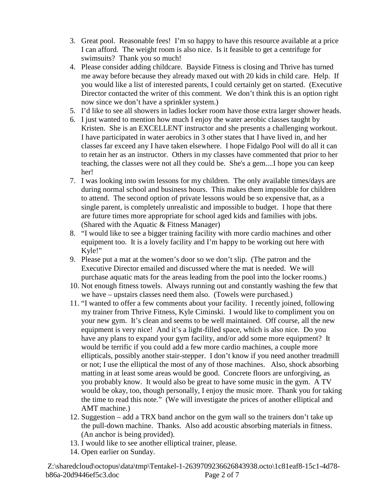- 3. Great pool. Reasonable fees! I'm so happy to have this resource available at a price I can afford. The weight room is also nice. Is it feasible to get a centrifuge for swimsuits? Thank you so much!
- 4. Please consider adding childcare. Bayside Fitness is closing and Thrive has turned me away before because they already maxed out with 20 kids in child care. Help. If you would like a list of interested parents, I could certainly get on started. (Executive Director contacted the writer of this comment. We don't think this is an option right now since we don't have a sprinkler system.)
- 5. I'd like to see all showers in ladies locker room have those extra larger shower heads.
- 6. I just wanted to mention how much I enjoy the water aerobic classes taught by Kristen. She is an EXCELLENT instructor and she presents a challenging workout. I have participated in water aerobics in 3 other states that I have lived in, and her classes far exceed any I have taken elsewhere. I hope Fidalgo Pool will do all it can to retain her as an instructor. Others in my classes have commented that prior to her teaching, the classes were not all they could be. She's a gem....I hope you can keep her!
- 7. I was looking into swim lessons for my children. The only available times/days are during normal school and business hours. This makes them impossible for children to attend. The second option of private lessons would be so expensive that, as a single parent, is completely unrealistic and impossible to budget. I hope that there are future times more appropriate for school aged kids and families with jobs. (Shared with the Aquatic & Fitness Manager)
- 8. "I would like to see a bigger training facility with more cardio machines and other equipment too. It is a lovely facility and I'm happy to be working out here with Kyle!"
- 9. Please put a mat at the women's door so we don't slip. (The patron and the Executive Director emailed and discussed where the mat is needed. We will purchase aquatic mats for the areas leading from the pool into the locker rooms.)
- 10. Not enough fitness towels. Always running out and constantly washing the few that we have – upstairs classes need them also. (Towels were purchased.)
- 11. "I wanted to offer a few comments about your facility. I recently joined, following my trainer from Thrive Fitness, Kyle Ciminski. I would like to compliment you on your new gym. It's clean and seems to be well maintained. Off course, all the new equipment is very nice! And it's a light-filled space, which is also nice. Do you have any plans to expand your gym facility, and/or add some more equipment? It would be terrific if you could add a few more cardio machines, a couple more ellipticals, possibly another stair-stepper. I don't know if you need another treadmill or not; I use the elliptical the most of any of those machines. Also, shock absorbing matting in at least some areas would be good. Concrete floors are unforgiving, as you probably know. It would also be great to have some music in the gym. A TV would be okay, too, though personally, I enjoy the music more. Thank you for taking the time to read this note." (We will investigate the prices of another elliptical and AMT machine.)
- 12. Suggestion add a TRX band anchor on the gym wall so the trainers don't take up the pull-down machine. Thanks. Also add acoustic absorbing materials in fitness. (An anchor is being provided).
- 13. I would like to see another elliptical trainer, please.
- 14. Open earlier on Sunday.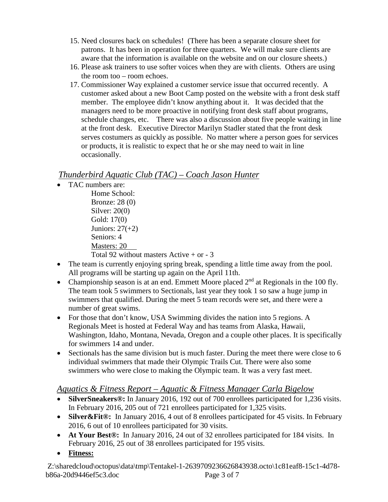- 15. Need closures back on schedules! (There has been a separate closure sheet for patrons. It has been in operation for three quarters. We will make sure clients are aware that the information is available on the website and on our closure sheets.)
- 16. Please ask trainers to use softer voices when they are with clients. Others are using the room too – room echoes.
- 17. Commissioner Way explained a customer service issue that occurred recently. A customer asked about a new Boot Camp posted on the website with a front desk staff member. The employee didn't know anything about it. It was decided that the managers need to be more proactive in notifying front desk staff about programs, schedule changes, etc. There was also a discussion about five people waiting in line at the front desk. Executive Director Marilyn Stadler stated that the front desk serves costumers as quickly as possible. No matter where a person goes for services or products, it is realistic to expect that he or she may need to wait in line occasionally.

# *Thunderbird Aquatic Club (TAC) – Coach Jason Hunter*

- TAC numbers are:
	- Home School: Bronze: 28 (0) Silver: 20(0) Gold: 17(0) Juniors:  $27(+2)$ Seniors: 4 Masters: 20 Total 92 without masters Active + or - 3
- The team is currently enjoying spring break, spending a little time away from the pool. All programs will be starting up again on the April 11th.
- Championship season is at an end. Emmett Moore placed  $2<sup>nd</sup>$  at Regionals in the 100 fly. The team took 5 swimmers to Sectionals, last year they took 1 so saw a huge jump in swimmers that qualified. During the meet 5 team records were set, and there were a number of great swims.
- For those that don't know, USA Swimming divides the nation into 5 regions. A Regionals Meet is hosted at Federal Way and has teams from Alaska, Hawaii, Washington, Idaho, Montana, Nevada, Oregon and a couple other places. It is specifically for swimmers 14 and under.
- Sectionals has the same division but is much faster. During the meet there were close to 6 individual swimmers that made their Olympic Trails Cut. There were also some swimmers who were close to making the Olympic team. It was a very fast meet.

# *Aquatics & Fitness Report – Aquatic & Fitness Manager Carla Bigelow*

- **SilverSneakers®:** In January 2016, 192 out of 700 enrollees participated for 1,236 visits. In February 2016, 205 out of 721 enrollees participated for 1,325 visits.
- **Silver & Fit ®:** In January 2016, 4 out of 8 enrollees participated for 45 visits. In February 2016, 6 out of 10 enrollees participated for 30 visits.
- **At Your Best®:** In January 2016, 24 out of 32 enrollees participated for 184 visits. In February 2016, 25 out of 38 enrollees participated for 195 visits.
- **Fitness:**

Z:\sharedcloud\octopus\data\tmp\Tentakel-1-2639709236626843938.octo\1c81eaf8-15c1-4d78 b86a-20d9446ef5c3.doc Page 3 of 7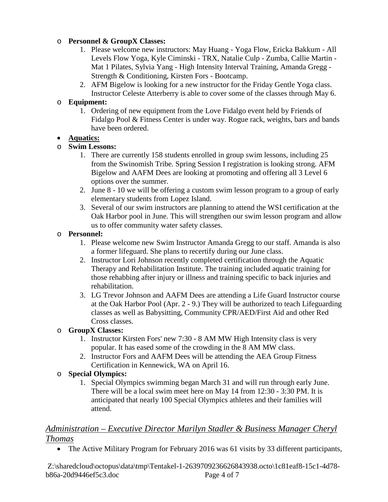#### o **Personnel & GroupX Classes:**

- 1. Please welcome new instructors: May Huang Yoga Flow, Ericka Bakkum All Levels Flow Yoga, Kyle Ciminski - TRX, Natalie Culp - Zumba, Callie Martin - Mat 1 Pilates, Sylvia Yang - High Intensity Interval Training, Amanda Gregg - Strength & Conditioning, Kirsten Fors - Bootcamp.
- 2. AFM Bigelow is looking for a new instructor for the Friday Gentle Yoga class. Instructor Celeste Atterberry is able to cover some of the classes through May 6.

#### o **Equipment:**

1. Ordering of new equipment from the Love Fidalgo event held by Friends of Fidalgo Pool & Fitness Center is under way. Rogue rack, weights, bars and bands have been ordered.

#### • **Aquatics:**

#### o **Swim Lessons:**

- 1. There are currently 158 students enrolled in group swim lessons, including 25 from the Swinomish Tribe. Spring Session I registration is looking strong. AFM Bigelow and AAFM Dees are looking at promoting and offering all 3 Level 6 options over the summer.
- 2. June 8 10 we will be offering a custom swim lesson program to a group of early elementary students from Lopez Island.
- 3. Several of our swim instructors are planning to attend the WSI certification at the Oak Harbor pool in June. This will strengthen our swim lesson program and allow us to offer community water safety classes.

#### o **Personnel:**

- 1. Please welcome new Swim Instructor Amanda Gregg to our staff. Amanda is also a former lifeguard. She plans to recertify during our June class.
- 2. Instructor Lori Johnson recently completed certification through the Aquatic Therapy and Rehabilitation Institute. The training included aquatic training for those rehabbing after injury or illness and training specific to back injuries and rehabilitation.
- 3. LG Trevor Johnson and AAFM Dees are attending a Life Guard Instructor course at the Oak Harbor Pool (Apr. 2 - 9.) They will be authorized to teach Lifeguarding classes as well as Babysitting, Community CPR/AED/First Aid and other Red Cross classes.

## o **GroupX Classes:**

- 1. Instructor Kirsten Fors' new 7:30 8 AM MW High Intensity class is very popular. It has eased some of the crowding in the 8 AM MW class.
- 2. Instructor Fors and AAFM Dees will be attending the AEA Group Fitness Certification in Kennewick, WA on April 16.

#### o **Special Olympics:**

1. Special Olympics swimming began March 31 and will run through early June. There will be a local swim meet here on May 14 from 12:30 - 3:30 PM. It is anticipated that nearly 100 Special Olympics athletes and their families will attend.

## *Administration – Executive Director Marilyn Stadler & Business Manager Cheryl Thomas*

• The Active Military Program for February 2016 was 61 visits by 33 different participants,

Z:\sharedcloud\octopus\data\tmp\Tentakel-1-2639709236626843938.octo\1c81eaf8-15c1-4d78 b86a-20d9446ef5c3.doc Page 4 of 7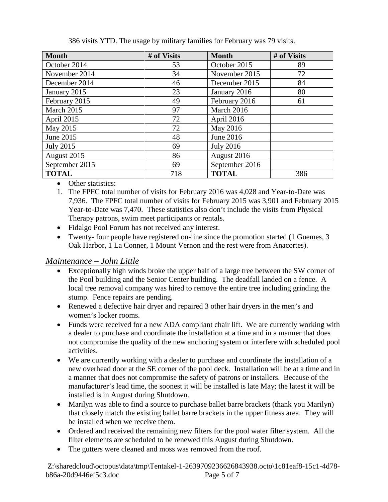| <b>Month</b>     | # of Visits | <b>Month</b>        | # of Visits |
|------------------|-------------|---------------------|-------------|
| October 2014     | 53          | October 2015        | 89          |
| November 2014    | 34          | November 2015       | 72          |
| December 2014    | 46          | December 2015       | 84          |
| January 2015     | 23          | January 2016        | 80          |
| February 2015    | 49          | February 2016       | 61          |
| March 2015       | 97          | March 2016          |             |
| April 2015       | 72          | April 2016          |             |
| May 2015         | 72          | May 2016            |             |
| June 2015        | 48          | June 2016           |             |
| <b>July 2015</b> | 69          | <b>July 2016</b>    |             |
| August 2015      | 86          | August 2016         |             |
| September 2015   | 69          | September 2016      |             |
| <b>TOTAL</b>     | 718         | <b>TOTAL</b><br>386 |             |

386 visits YTD. The usage by military families for February was 79 visits.

- Other statistics:
- 1. The FPFC total number of visits for February 2016 was 4,028 and Year-to-Date was 7,936. The FPFC total number of visits for February 2015 was 3,901 and February 2015 Year-to-Date was 7,470. These statistics also don't include the visits from Physical Therapy patrons, swim meet participants or rentals.
- Fidalgo Pool Forum has not received any interest.
- Twenty- four people have registered on-line since the promotion started (1 Guemes, 3 Oak Harbor, 1 La Conner, 1 Mount Vernon and the rest were from Anacortes).

## *Maintenance – John Little*

- Exceptionally high winds broke the upper half of a large tree between the SW corner of the Pool building and the Senior Center building. The deadfall landed on a fence. A local tree removal company was hired to remove the entire tree including grinding the stump. Fence repairs are pending.
- Renewed a defective hair dryer and repaired 3 other hair dryers in the men's and women's locker rooms.
- Funds were received for a new ADA compliant chair lift. We are currently working with a dealer to purchase and coordinate the installation at a time and in a manner that does not compromise the quality of the new anchoring system or interfere with scheduled pool activities.
- We are currently working with a dealer to purchase and coordinate the installation of a new overhead door at the SE corner of the pool deck. Installation will be at a time and in a manner that does not compromise the safety of patrons or installers. Because of the manufacturer's lead time, the soonest it will be installed is late May; the latest it will be installed is in August during Shutdown.
- Marilyn was able to find a source to purchase ballet barre brackets (thank you Marilyn) that closely match the existing ballet barre brackets in the upper fitness area. They will be installed when we receive them.
- Ordered and received the remaining new filters for the pool water filter system. All the filter elements are scheduled to be renewed this August during Shutdown.
- The gutters were cleaned and moss was removed from the roof.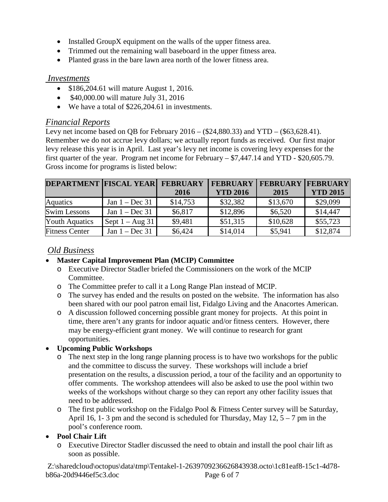- Installed GroupX equipment on the walls of the upper fitness area.
- Trimmed out the remaining wall baseboard in the upper fitness area.
- Planted grass in the bare lawn area north of the lower fitness area.

#### *Investments*

- \$186,204.61 will mature August 1, 2016.
- \$40,000.00 will mature July 31, 2016
- We have a total of \$226,204.61 in investments.

## *Financial Reports*

Levy net income based on QB for February 2016 – (\$24,880.33) and YTD – (\$63,628.41). Remember we do not accrue levy dollars; we actually report funds as received. Our first major levy release this year is in April. Last year's levy net income is covering levy expenses for the first quarter of the year. Program net income for February – \$7,447.14 and YTD - \$20,605.79. Gross income for programs is listed below:

| <b>DEPARTMENT FISCAL YEAR FEBRUARY</b> |                    |          | <b>FEBRUARY</b> | <b>FEBRUARY FEBRUARY</b> |                 |
|----------------------------------------|--------------------|----------|-----------------|--------------------------|-----------------|
|                                        |                    | 2016     | <b>YTD 2016</b> | 2015                     | <b>YTD 2015</b> |
| <b>Aquatics</b>                        | Jan $1 - Dec 31$   | \$14,753 | \$32,382        | \$13,670                 | \$29,099        |
| <b>Swim Lessons</b>                    | Jan $1 - Dec 31$   | \$6,817  | \$12,896        | \$6,520                  | \$14,447        |
| <b>Youth Aquatics</b>                  | Sept $1 - Aug\ 31$ | \$9,481  | \$51,315        | \$10,628                 | \$55,723        |
| <b>Fitness Center</b>                  | Jan $1 - Dec 31$   | \$6,424  | \$14,014        | \$5,941                  | \$12,874        |

## *Old Business*

## • **Master Capital Improvement Plan (MCIP) Committee**

- o Executive Director Stadler briefed the Commissioners on the work of the MCIP Committee.
- o The Committee prefer to call it a Long Range Plan instead of MCIP.
- o The survey has ended and the results on posted on the website. The information has also been shared with our pool patron email list, Fidalgo Living and the Anacortes American.
- o A discussion followed concerning possible grant money for projects. At this point in time, there aren't any grants for indoor aquatic and/or fitness centers. However, there may be energy-efficient grant money. We will continue to research for grant opportunities.

## • **Upcoming Public Workshops**

- o The next step in the long range planning process is to have two workshops for the public and the committee to discuss the survey. These workshops will include a brief presentation on the results, a discussion period, a tour of the facility and an opportunity to offer comments. The workshop attendees will also be asked to use the pool within two weeks of the workshops without charge so they can report any other facility issues that need to be addressed.
- o The first public workshop on the Fidalgo Pool & Fitness Center survey will be Saturday, April 16, 1-3 pm and the second is scheduled for Thursday, May  $12, 5 - 7$  pm in the pool's conference room.

## • **Pool Chair Lift**

o Executive Director Stadler discussed the need to obtain and install the pool chair lift as soon as possible.

Z:\sharedcloud\octopus\data\tmp\Tentakel-1-2639709236626843938.octo\1c81eaf8-15c1-4d78 b86a-20d9446ef5c3.doc Page 6 of 7